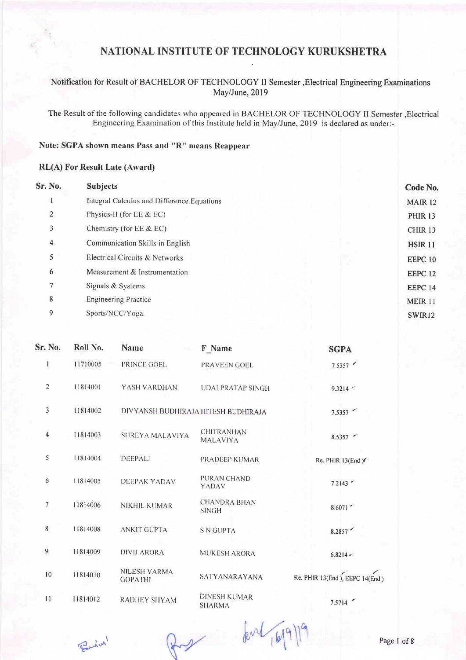### Notification for Result of BACHELOR OF TECHNOLOGY II Semester , Electrical Engineering Examinations May/June, 2019

The Result of the following candidates who appeared in BACHELOR OF TECHNOLOGY II Semester , Electrical Engineering Examination of this Institute held in May/June, 2019 is declared as under:-

### Note: SGPA shown means Pass and "R" means Reappear

#### **RL(A) For Result Late (Award)**

| Sr. No. | <b>Subjects</b>                            | Code No.           |
|---------|--------------------------------------------|--------------------|
|         | Integral Calculus and Difference Equations | <b>MAIR 12</b>     |
| 2       | Physics-II (for EE & EC)                   | <b>PHIR 13</b>     |
| 3       | Chemistry (for $EE & EC$ )                 | CHIR <sub>13</sub> |
| 4       | Communication Skills in English            | <b>HSIR 11</b>     |
| 5       | Electrical Circuits & Networks             | EEPC <sub>10</sub> |
| 6       | Measurement & Instrumentation              | EEPC <sub>12</sub> |
| 7       | Signals & Systems                          | EEPC 14            |
| 8       | <b>Engineering Practice</b>                | <b>MEIR 11</b>     |
| 9       | Sports/NCC/Yoga.                           | SWIR12             |
|         |                                            |                    |

| Sr. No.        | Roll No. | <b>Name</b>                           | F Name                               | <b>SGPA</b>                    |
|----------------|----------|---------------------------------------|--------------------------------------|--------------------------------|
| 1              | 11710005 | PRINCE GOEL                           | PRAVEEN GOEL                         | 7.5357                         |
| $\overline{2}$ | 11814001 | YASH VARDHAN                          | <b>UDAI PRATAP SINGH</b>             | 9.3214                         |
| $\overline{3}$ | 11814002 | DIVYANSH BUDHIRAJA HITESH BUDHIRAJA   |                                      | 7.5357                         |
| $\overline{4}$ | 11814003 | SHREYA MALAVIYA                       | <b>CHITRANHAN</b><br><b>MALAVIYA</b> | $8.5357$ $\sim$                |
| 5              | 11814004 | <b>DEEPALI</b>                        | PRADEEP KUMAR                        | Re. PHIR 13(End)               |
| 6              | 11814005 | DEEPAK YADAV                          | PURAN CHAND<br>YADAV                 | 7.2143                         |
| 7              | 11814006 | <b>NIKHIL KUMAR</b>                   | <b>CHANDRA BHAN</b><br><b>SINGH</b>  | 8.6071                         |
| 8              | 11814008 | <b>ANKIT GUPTA</b>                    | <b>S N GUPTA</b>                     | 8.2857                         |
| 9              | 11814009 | <b>DIVIJ ARORA</b>                    | <b>MUKESH ARORA</b>                  | $6.8214 \times$                |
| 10             | 11814010 | <b>NILESH VARMA</b><br><b>GOPATHI</b> | SATYANARAYANA                        | Re. PHIR 13(End), EEPC 14(End) |
| 11             | 11814012 | <b>RADHEY SHYAM</b>                   | <b>DINESH KUMAR</b><br><b>SHARMA</b> | 7.5714                         |

Buin !

Rux

 $k^{\text{nl}}$   $(619)$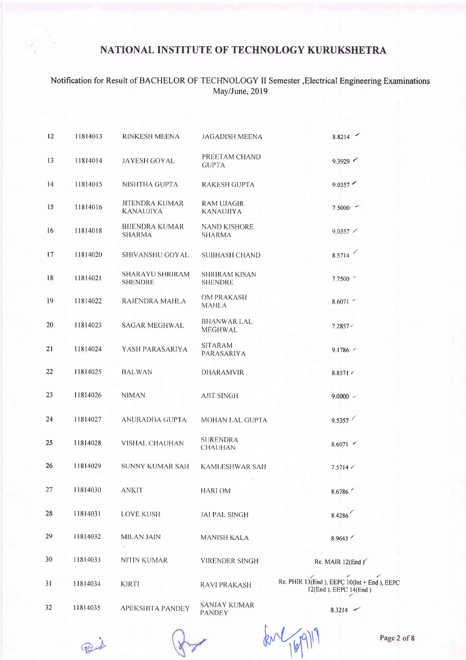# Notification for Result of BACHELOR OF TECHNOLOGY II Semester , Electrical Engineering Examinations<br>May/June, 2019

| 12 | 11814013 | RINKESH MEENA                      | <b>JAGADISH MEENA</b>                  | 8.8214                                                                    |
|----|----------|------------------------------------|----------------------------------------|---------------------------------------------------------------------------|
| 13 | 11814014 | <b>JAYESH GOYAL</b>                | PREETAM CHAND<br><b>GUPTA</b>          | 9.3929                                                                    |
| 14 | 11814015 | NISHTHA GUPTA                      | <b>RAKESH GUPTA</b>                    | 9.0357                                                                    |
| 15 | 11814016 | JITENDRA KUMAR<br><b>KANAUJIYA</b> | RAM UJAGIR<br><b>KANAUJIYA</b>         | 7.5000                                                                    |
| 16 | 11814018 | <b>BIJENDRA KUMAR</b><br>SHARMA    | <b>NAND KISHORE</b><br><b>SHARMA</b>   | 9,0357                                                                    |
| 17 | 11814020 | SHIVANSHU GOYAL                    | <b>SUBHASH CHAND</b>                   | C,<br>8.5714                                                              |
| 18 | 11814021 | SHARAYU SHRIRAM<br><b>SHENDRE</b>  | <b>SHRIRAM KISAN</b><br><b>SHENDRE</b> | 7.7500                                                                    |
| 19 | 11814022 | RAJENDRA MAHLA                     | OM PRAKASH<br><b>MAHLA</b>             | 8.6071                                                                    |
| 20 | 11814023 | <b>SAGAR MEGHWAL</b>               | <b>BHANWAR LAL</b><br>MEGHWAL          | $7.2857 -$                                                                |
| 21 | 11814024 | YASH PARASARIYA                    | <b>SITARAM</b><br>PARASARIYA           | 9.1786                                                                    |
| 22 | 11814025 | <b>BALWAN</b>                      | <b>DHARAMVIR</b>                       | $8.8571$ $\sim$                                                           |
| 23 | 11814026 | <b>NIMAN</b>                       | <b>AJIT SINGH</b>                      | $9.0000$ $\sim$                                                           |
| 24 | 11814027 | ANURADHA GUPTA                     | MOHAN LAL GUPTA                        | 9.5357                                                                    |
| 25 | 11814028 | <b>VISHAL CHAUHAN</b>              | <b>SURENDRA</b><br><b>CHAUHAN</b>      | $8.6071$ $\sim$                                                           |
| 26 | 11814029 | <b>SUNNY KUMAR SAH</b>             | <b>KAMLESHWAR SAH</b>                  | 7.5714 /                                                                  |
| 27 | 11814030 | <b>ANKIT</b>                       | <b>HARIOM</b>                          | 8.6786                                                                    |
| 28 | 11814031 | <b>LOVE KUSH</b>                   | <b>JAI PAL SINGH</b>                   | 8.4286                                                                    |
| 29 | 11814032 | <b>MILAN JAIN</b>                  | MANISH KALA                            | 8.9643                                                                    |
| 30 | 11814033 | <b>NITIN KUMAR</b>                 | <b>VIRENDER SINGH</b>                  | Re. MAIR 12(End Y                                                         |
| 31 | 11814034 | <b>KIRTI</b>                       | <b>RAVI PRAKASH</b>                    | Re. PHIR $13(End)$ , EEPC $10(Int + End)$ , EEPC<br>12(End), EEPC 14(End) |
| 32 | 11814035 | <b>APEKSHITA PANDEY</b>            | SANJAY KUMAR<br><b>PANDEV</b>          | $8.3214$ $-$                                                              |

Peux

 $60 - 1691$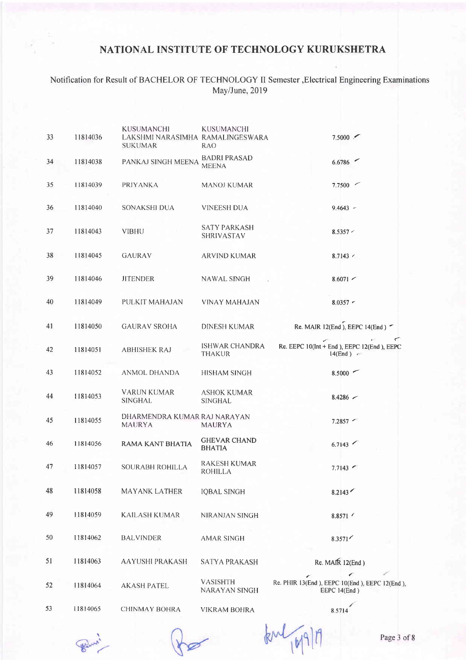### Notification for Result of BACHELOR OF TECHNOLOGY II Semester , Electrical Engineering Examinations May/June, 2019

| 33 | 11814036 | <b>KUSUMANCHI</b><br>LAKSHMI NARASIMHA RAMALINGESWARA<br>SUKUMAR | <b>KUSUMANCHI</b><br><b>RAO</b>        | 7.5000                                                        |
|----|----------|------------------------------------------------------------------|----------------------------------------|---------------------------------------------------------------|
| 34 | 11814038 | PANKAJ SINGH MEENA                                               | <b>BADRI PRASAD</b><br><b>MEENA</b>    | 6.6786                                                        |
| 35 | 11814039 | <b>PRIYANKA</b>                                                  | MANOJ KUMAR                            | 7.7500                                                        |
| 36 | 11814040 | SONAKSHI DUA                                                     | VINEESH DUA                            | $9.4643 -$                                                    |
| 37 | 11814043 | <b>VIBHU</b>                                                     | <b>SATY PARKASH</b><br>SHRIVASTAV      | 8.5357 <                                                      |
| 38 | 11814045 | <b>GAURAV</b>                                                    | ARVIND KUMAR                           | $8.7143$ $\sim$                                               |
| 39 | 11814046 | <b>JITENDER</b>                                                  | <b>NAWAL SINGH</b>                     | $8.6071$ $\sim$                                               |
| 40 | 11814049 | PULKIT MAHAJAN                                                   | <b>VINAY MAHAJAN</b>                   | $8.0357 -$                                                    |
| 41 | 11814050 | <b>GAURAV SROHA</b>                                              | <b>DINESH KUMAR</b>                    | Re. MAIR 12(End), EEPC 14(End) -                              |
| 42 | 11814051 | <b>ABHISHEK RAJ</b>                                              | <b>ISHWAR CHANDRA</b><br><b>THAKUR</b> | Re. EEPC 10(Int + End ), EEPC 12(End ), EEPC<br>14(End)       |
| 43 | 11814052 | <b>ANMOL DHANDA</b>                                              | <b>HISHAM SINGH</b>                    | 8.5000                                                        |
| 44 | 11814053 | <b>VARUN KUMAR</b><br><b>SINGHAL</b>                             | <b>ASHOK KUMAR</b><br><b>SINGHAL</b>   | $8.4286$ $\sim$                                               |
| 45 | 11814055 | DHARMENDRA KUMAR RAJ NARAYAN<br><b>MAURYA</b>                    | <b>MAURYA</b>                          | $7.2857$ $\sim$                                               |
| 46 | 11814056 | <b>RAMA KANT BHATIA</b>                                          | <b>GHEVAR CHAND</b><br><b>BHATIA</b>   | 6.7143                                                        |
| 47 | 11814057 | SOURABH ROHILLA                                                  | <b>RAKESH KUMAR</b><br><b>ROHILLA</b>  | 7.7143                                                        |
| 48 | 11814058 | <b>MAYANK LATHER</b>                                             | <b>IQBAL SINGH</b>                     | 8.2143                                                        |
| 49 | 11814059 | <b>KAILASH KUMAR</b>                                             | NIRANJAN SINGH                         | 8.8571                                                        |
| 50 | 11814062 | <b>BALVINDER</b>                                                 | <b>AMAR SINGH</b>                      | 8.3571                                                        |
| 51 | 11814063 | <b>AAYUSHI PRAKASH</b>                                           | <b>SATYA PRAKASH</b>                   | Re. MAIR 12(End)                                              |
| 52 | 11814064 | <b>AKASH PATEL</b>                                               | VASISHTH<br>NARAYAN SINGH              | Re. PHIR 13(End), EEPC 10(End), EEPC 12(End),<br>EEPC 14(End) |
| 53 | 11814065 | CHINMAY BOHRA                                                    | <b>VIKRAM BOHRA</b>                    | 8.5714                                                        |

Pour!

 $km\sqrt{169119}$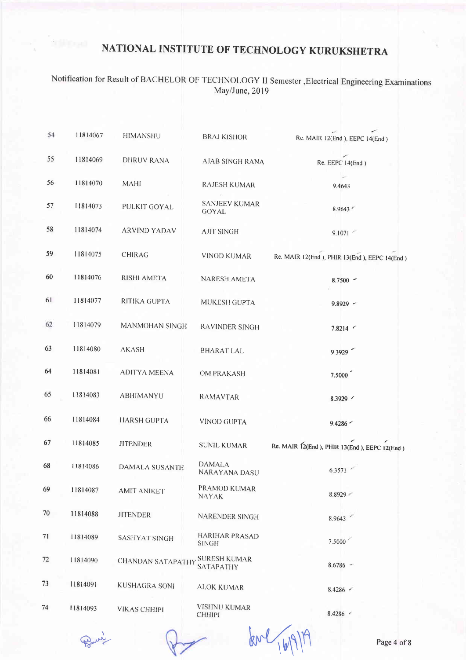# Notification for Result of BACHELOR OF TECHNOLOGY II Semester , Electrical Engineering Examinations<br>May/June, 2019

| 54 | 11814067 | HIMANSHU                 | <b>BRAJ KISHOR</b>                    | ╭<br>Re. MAIR 12(End), EEPC 14(End)          |
|----|----------|--------------------------|---------------------------------------|----------------------------------------------|
| 55 | 11814069 | <b>DHRUV RANA</b>        | <b>AJAB SINGH RANA</b>                | Re. EEPC 14(End)                             |
| 56 | 11814070 | <b>MAHI</b>              | <b>RAJESH KUMAR</b>                   | 9.4643                                       |
| 57 | 11814073 | PULKIT GOYAL             | <b>SANJEEV KUMAR</b><br><b>GOYAL</b>  | 8.9643                                       |
| 58 | 11814074 | <b>ARVIND YADAV</b>      | <b>AJIT SINGH</b>                     | 9.1071                                       |
| 59 | 11814075 | <b>CHIRAG</b>            | VINOD KUMAR                           | Re. MAIR 12(End), PHIR 13(End), EEPC 14(End) |
| 60 | 11814076 | <b>RISHI AMETA</b>       | <b>NARESH AMETA</b>                   | $8.7500 -$                                   |
| 61 | 11814077 | RITIKA GUPTA             | MUKESH GUPTA                          | $9.8929 -$                                   |
| 62 | 11814079 | MANMOHAN SINGH           | RAVINDER SINGH                        | $7.8214$ $\sim$                              |
| 63 | 11814080 | <b>AKASH</b>             | <b>BHARAT LAL</b>                     | 9.3929                                       |
| 64 | 11814081 | <b>ADITYA MEENA</b>      | OM PRAKASH                            | 7.5000                                       |
| 65 | 11814083 | ABHIMANYU                | RAMAVTAR                              | 8.3929                                       |
| 66 | 11814084 | <b>HARSH GUPTA</b>       | <b>VINOD GUPTA</b>                    | 9.4286                                       |
| 67 | 11814085 | <b>JITENDER</b>          | <b>SUNIL KUMAR</b>                    | Re. MAIR 12(End), PHIR 13(End), EEPC 12(End) |
| 68 | 11814086 | <b>DAMALA SUSANTH</b>    | <b>DAMALA</b><br>NARAYANA DASU        | 6.3571                                       |
| 69 | 11814087 | <b>AMIT ANIKET</b>       | PRAMOD KUMAR<br><b>NAYAK</b>          | 8.8929                                       |
| 70 | 11814088 | <b>JITENDER</b>          | NARENDER SINGH                        | 8.9643                                       |
| 71 | 11814089 | <b>SASHYAT SINGH</b>     | <b>HARIHAR PRASAD</b><br><b>SINGH</b> | 7.5000                                       |
| 72 | 11814090 | <b>CHANDAN SATAPATHY</b> | SURESH KUMAR<br>SATAPATHY             | $8.6786 -$                                   |
| 73 | 11814091 | <b>KUSHAGRA SONI</b>     | <b>ALOK KUMAR</b>                     | 8.4286                                       |
| 74 | 11814093 | <b>VIKAS CHHIPI</b>      | <b>VISHNU KUMAR</b><br><b>CHHIPI</b>  | 8.4286 /                                     |

Pone

 $kvl_{16191}$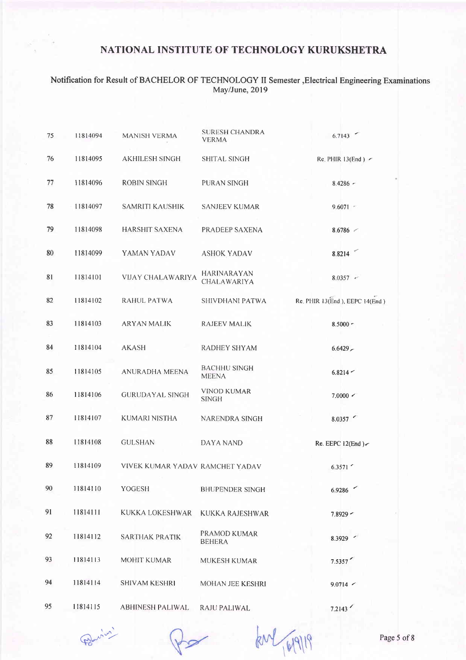### Notification for Result of BACHELOR OF TECHNOLOGY II Semester,Electrical Engineering Examinations May/June, 2019

| 75 | 11814094 | <b>MANISH VERMA</b>             | <b>SURESH CHANDRA</b><br><b>VERMA</b> | 6.7143                          |
|----|----------|---------------------------------|---------------------------------------|---------------------------------|
| 76 | 11814095 | <b>AKHILESH SINGH</b>           | <b>SHITAL SINGH</b>                   | Re. PHIR $13(End)$ $\sim$       |
| 77 | 11814096 | <b>ROBIN SINGH</b>              | PURAN SINGH                           | $8.4286 -$                      |
| 78 | 11814097 | <b>SAMRITI KAUSHIK</b>          | <b>SANJEEV KUMAR</b>                  | $9.6071 -$                      |
| 79 | 11814098 | <b>HARSHIT SAXENA</b>           | PRADEEP SAXENA                        | 8.6786                          |
| 80 | 11814099 | YAMAN YADAV                     | <b>ASHOK YADAV</b>                    | 8.8214                          |
| 81 | 11814101 | <b>VIJAY CHALAWARIYA</b>        | <b>HARINARAYAN</b><br>CHALAWARIYA     | $8.0357 -$                      |
| 82 | 11814102 | <b>RAHUL PATWA</b>              | SHIVDHANI PATWA                       | Re. PHIR 13(End ), EEPC 14(End) |
| 83 | 11814103 | <b>ARYAN MALIK</b>              | RAJEEV MALIK                          | $8.5000 -$                      |
| 84 | 11814104 | <b>AKASH</b>                    | <b>RADHEY SHYAM</b>                   | $6.6429 -$                      |
| 85 | 11814105 | <b>ANURADHA MEENA</b>           | <b>BACHHU SINGH</b><br><b>MEENA</b>   | $6.8214 -$                      |
| 86 | 11814106 | <b>GURUDAYAL SINGH</b>          | VINOD KUMAR<br><b>SINGH</b>           | 7.0000 <                        |
| 87 | 11814107 | KUMARI NISTHA                   | NARENDRA SINGH                        | 8.0357                          |
| 88 | 11814108 | <b>GULSHAN</b>                  | DAYA NAND                             | Re. EEPC $12(End)$              |
| 89 | 11814109 | VIVEK KUMAR YADAV RAMCHET YADAV |                                       | 6.3571                          |
| 90 | 11814110 | YOGESH                          | <b>BHUPENDER SINGH</b>                | 6.9286                          |
| 91 | 11814111 | KUKKA LOKESHWAR                 | <b>KUKKA RAJESHWAR</b>                | $7.8929 -$                      |
| 92 | 11814112 | <b>SARTHAK PRATIK</b>           | PRAMOD KUMAR<br><b>BEHERA</b>         | 8.3929 -                        |
| 93 | 11814113 | <b>MOHIT KUMAR</b>              | <b>MUKESH KUMAR</b>                   | 7.5357                          |
| 94 | 11814114 | <b>SHIVAM KESHRI</b>            | MOHAN JEE KESHRI                      | $9.0714$ $\sim$                 |
| 95 | 11814115 | <b>ABHINESH PALIWAL</b>         | RAJU PALIWAL                          | 7.2143                          |

 $Q = \frac{1}{\sqrt{2\pi}}$   $\frac{1}{\sqrt{2\pi}}$   $\frac{1}{\sqrt{2\pi}}$  Page 5 of 8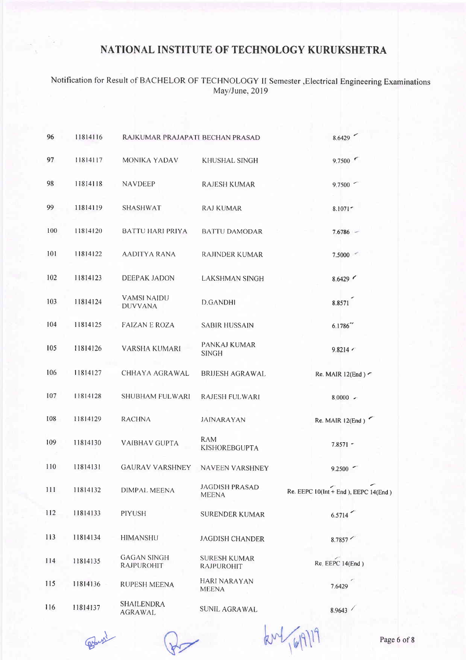# Notification for Result of BACHELOR OF TECHNOLOGY II Semester , Electrical Engineering Examinations<br>May/June, 2019

| 96  | 11814116 | RAJKUMAR PRAJAPATI BECHAN PRASAD     |                                       | 8.6429                                     |
|-----|----------|--------------------------------------|---------------------------------------|--------------------------------------------|
| 97  | 11814117 | <b>MONIKA YADAV</b>                  | KHUSHAL SINGH                         | 9.7500                                     |
| 98  | 11814118 | <b>NAVDEEP</b>                       | <b>RAJESH KUMAR</b>                   | 9.7500                                     |
| 99  | 11814119 | <b>SHASHWAT</b>                      | <b>RAJ KUMAR</b>                      | 8.1071                                     |
| 100 | 11814120 | <b>BATTU HARI PRIYA</b>              | <b>BATTU DAMODAR</b>                  | $7.6786 -$                                 |
| 101 | 11814122 | <b>AADITYA RANA</b>                  | <b>RAJINDER KUMAR</b>                 | 7.5000                                     |
| 102 | 11814123 | <b>DEEPAK JADON</b>                  | <b>LAKSHMAN SINGH</b>                 | 8.6429                                     |
| 103 | 11814124 | <b>VAMSI NAIDU</b><br><b>DUVVANA</b> | <b>D.GANDHI</b>                       | 8.8571                                     |
| 104 | 11814125 | <b>FAIZAN E ROZA</b>                 | <b>SABIR HUSSAIN</b>                  | 6.1786                                     |
| 105 | 11814126 | <b>VARSHA KUMARI</b>                 | PANKAJ KUMAR<br><b>SINGH</b>          | 9.8214                                     |
| 106 | 11814127 | CHHAYA AGRAWAL                       | <b>BRIJESH AGRAWAL</b>                | Re. MAIR $12(End)$                         |
| 107 | 11814128 | <b>SHUBHAM FULWARI</b>               | <b>RAJESH FULWARI</b>                 | $8.0000 -$                                 |
| 108 | 11814129 | <b>RACHNA</b>                        | <b>JAINARAYAN</b>                     | Re. MAIR $12(End)$                         |
| 109 | 11814130 | <b>VAIBHAV GUPTA</b>                 | <b>RAM</b><br>KISHOREBGUPTA           | $7.8571 -$                                 |
| 110 | 11814131 | <b>GAURAV VARSHNEY</b>               | <b>NAVEEN VARSHNEY</b>                | 9.2500                                     |
| 111 | 11814132 | DIMPAL MEENA                         | <b>JAGDISH PRASAD</b><br><b>MEENA</b> | Re. EEPC $10$ (Int + End), EEPC $14$ (End) |
| 112 | 11814133 | PIYUSH                               | <b>SURENDER KUMAR</b>                 | 6.5714                                     |
| 113 | 11814134 | <b>HIMANSHU</b>                      | <b>JAGDISH CHANDER</b>                | 8.7857                                     |
| 114 | 11814135 | <b>GAGAN SINGH</b><br>RAJPUROHIT     | <b>SURESH KUMAR</b><br>RAJPUROHIT     | Re. EEPC 14(End)                           |
| 115 | 11814136 | <b>RUPESH MEENA</b>                  | HARI NARAYAN<br><b>MEENA</b>          | 7.6429                                     |
| 116 | 11814137 | <b>SHAILENDRA</b><br>AGRAWAL         | SUNIL AGRAWAL                         | 8.9643                                     |

Police

km/ (6/9)19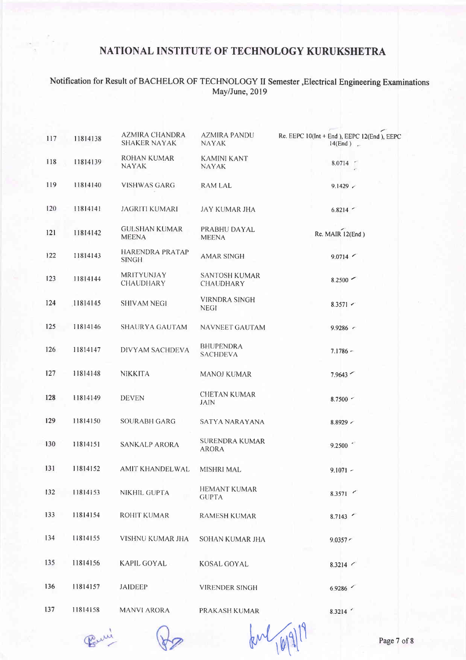### Notification for Result of BACHELOR OF TECHNOLOGY II Semester ,Electrical Engineering Examinations May/June,20l9

| 117 | 11814138 | AZMIRA CHANDRA<br><b>SHAKER NAYAK</b>  | <b>AZMIRA PANDU</b><br><b>NAYAK</b>      | Re. EEPC 10(Int + End), EEPC 12(End), EEPC<br>14(End) |
|-----|----------|----------------------------------------|------------------------------------------|-------------------------------------------------------|
| 118 | 11814139 | ROHAN KUMAR<br><b>NAYAK</b>            | <b>KAMINI KANT</b><br><b>NAYAK</b>       | 8.0714                                                |
| 119 | 11814140 | <b>VISHWAS GARG</b>                    | <b>RAM LAL</b>                           | 9.1429                                                |
| 120 | 11814141 | JAGRITI KUMARI                         | <b>JAY KUMAR JHA</b>                     | 6.8214                                                |
| 121 | 11814142 | <b>GULSHAN KUMAR</b><br><b>MEENA</b>   | PRABHU DAYAL<br><b>MEENA</b>             | Re. MAIR 12(End)                                      |
| 122 | 11814143 | <b>HARENDRA PRATAP</b><br><b>SINGH</b> | <b>AMAR SINGH</b>                        | 9.0714                                                |
| 123 | 11814144 | <b>MRITYUNJAY</b><br><b>CHAUDHARY</b>  | <b>SANTOSH KUMAR</b><br><b>CHAUDHARY</b> | $8.2500$ $\sim$                                       |
| 124 | 11814145 | <b>SHIVAM NEGI</b>                     | VIRNDRA SINGH<br><b>NEGI</b>             | $8.3571$ $\sim$                                       |
| 125 | 11814146 | SHAURYA GAUTAM                         | NAVNEET GAUTAM                           | 9.9286                                                |
| 126 | 11814147 | DIVYAM SACHDEVA                        | <b>BHUPENDRA</b><br><b>SACHDEVA</b>      | $7.1786 -$                                            |
| 127 | 11814148 | <b>NIKKITA</b>                         | MANOJ KUMAR                              | 7.9643                                                |
| 128 | 11814149 | <b>DEVEN</b>                           | <b>CHETAN KUMAR</b><br><b>JAIN</b>       | $8.7500$ $\sim$                                       |
| 129 | 11814150 | <b>SOURABH GARG</b>                    | SATYA NARAYANA                           | $8.8929$ $\sim$                                       |
| 130 | 11814151 | SANKALP ARORA                          | <b>SURENDRA KUMAR</b><br><b>ARORA</b>    | 9.2500                                                |
| 131 | 11814152 | AMIT KHANDELWAL                        | <b>MISHRI MAL</b>                        | $9.1071 -$                                            |
| 132 | 11814153 | NIKHIL GUPTA                           | <b>HEMANT KUMAR</b><br><b>GUPTA</b>      | 8.3571                                                |
| 133 | 11814154 | <b>ROHIT KUMAR</b>                     | <b>RAMESH KUMAR</b>                      | 8.7143                                                |
| 134 | 11814155 | VISHNU KUMAR JHA                       | SOHAN KUMAR JHA                          | 9.0357 <                                              |
| 135 | 11814156 | KAPIL GOYAL                            | <b>KOSAL GOYAL</b>                       | 8.3214                                                |
| 136 | 11814157 | <b>JAIDEEP</b>                         | VIRENDER SINGH                           | 6.9286                                                |
| 137 | 11814158 | <b>MANVI ARORA</b>                     | PRAKASH KUMAR                            | 8.3214                                                |

Peuvi

 $kM_{101}^{911}$  Page 7 of 8